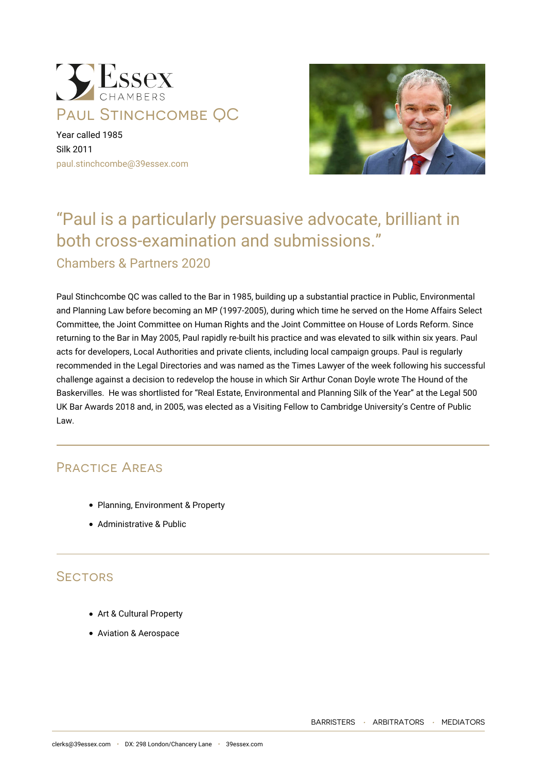

Year called 1985 Silk 2011 [paul.stinchcombe@39essex.com](mailto:paul.stinchcombe@39essex.com)



# "Paul is a particularly persuasive advocate, brilliant in both cross-examination and submissions."

Chambers & Partners 2020

Paul Stinchcombe QC was called to the Bar in 1985, building up a substantial practice in Public, Environmental and Planning Law before becoming an MP (1997-2005), during which time he served on the Home Affairs Select Committee, the Joint Committee on Human Rights and the Joint Committee on House of Lords Reform. Since returning to the Bar in May 2005, Paul rapidly re-built his practice and was elevated to silk within six years. Paul acts for developers, Local Authorities and private clients, including local campaign groups. Paul is regularly recommended in the Legal Directories and was named as the Times Lawyer of the week following his successful challenge against a decision to redevelop the house in which Sir Arthur Conan Doyle wrote The Hound of the Baskervilles. He was shortlisted for "Real Estate, Environmental and Planning Silk of the Year" at the Legal 500 UK Bar Awards 2018 and, in 2005, was elected as a Visiting Fellow to Cambridge University's Centre of Public Law.

# Practice Areas

- Planning, Environment & Property
- Administrative & Public

# **SECTORS**

- Art & Cultural Property
- Aviation & Aerospace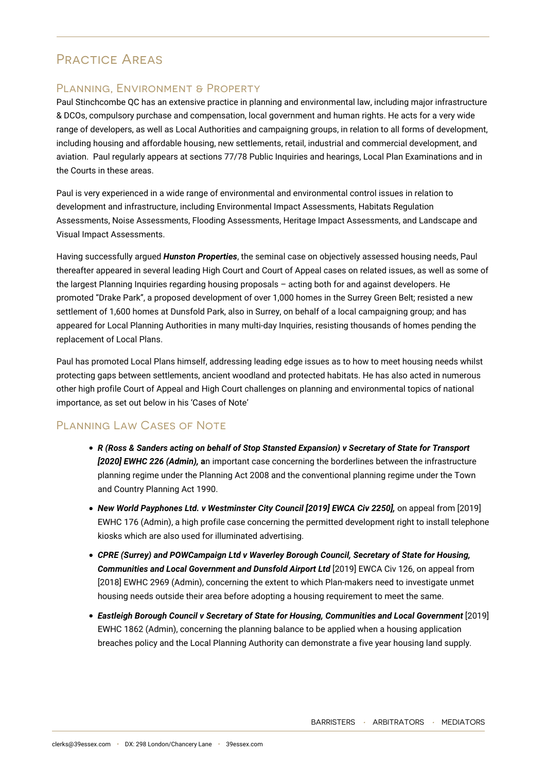# Practice Areas

### PLANNING, ENVIRONMENT & PROPERTY

Paul Stinchcombe QC has an extensive practice in planning and environmental law, including major infrastructure & DCOs, compulsory purchase and compensation, local government and human rights. He acts for a very wide range of developers, as well as Local Authorities and campaigning groups, in relation to all forms of development, including housing and affordable housing, new settlements, retail, industrial and commercial development, and aviation. Paul regularly appears at sections 77/78 Public Inquiries and hearings, Local Plan Examinations and in the Courts in these areas.

Paul is very experienced in a wide range of environmental and environmental control issues in relation to development and infrastructure, including Environmental Impact Assessments, Habitats Regulation Assessments, Noise Assessments, Flooding Assessments, Heritage Impact Assessments, and Landscape and Visual Impact Assessments.

Having successfully argued *Hunston Properties*, the seminal case on objectively assessed housing needs, Paul thereafter appeared in several leading High Court and Court of Appeal cases on related issues, as well as some of the largest Planning Inquiries regarding housing proposals – acting both for and against developers. He promoted "Drake Park", a proposed development of over 1,000 homes in the Surrey Green Belt; resisted a new settlement of 1,600 homes at Dunsfold Park, also in Surrey, on behalf of a local campaigning group; and has appeared for Local Planning Authorities in many multi-day Inquiries, resisting thousands of homes pending the replacement of Local Plans.

Paul has promoted Local Plans himself, addressing leading edge issues as to how to meet housing needs whilst protecting gaps between settlements, ancient woodland and protected habitats. He has also acted in numerous other high profile Court of Appeal and High Court challenges on planning and environmental topics of national importance, as set out below in his 'Cases of Note'

# Planning Law Cases of Note

- *R (Ross & Sanders acting on behalf of Stop Stansted Expansion) v Secretary of State for Transport [2020] EWHC 226 (Admin),* **a**n important case concerning the borderlines between the infrastructure planning regime under the Planning Act 2008 and the conventional planning regime under the Town and Country Planning Act 1990.
- New World Payphones Ltd. v Westminster City Council [2019] EWCA Civ 2250], on appeal from [2019] EWHC 176 (Admin), a high profile case concerning the permitted development right to install telephone kiosks which are also used for illuminated advertising.
- *CPRE (Surrey) and POWCampaign Ltd v Waverley Borough Council, Secretary of State for Housing, Communities and Local Government and Dunsfold Airport Ltd* [2019] EWCA Civ 126, on appeal from [2018] EWHC 2969 (Admin), concerning the extent to which Plan-makers need to investigate unmet housing needs outside their area before adopting a housing requirement to meet the same.
- *Eastleigh Borough Council v Secretary of State for Housing, Communities and Local Government* [2019] EWHC 1862 (Admin), concerning the planning balance to be applied when a housing application breaches policy and the Local Planning Authority can demonstrate a five year housing land supply.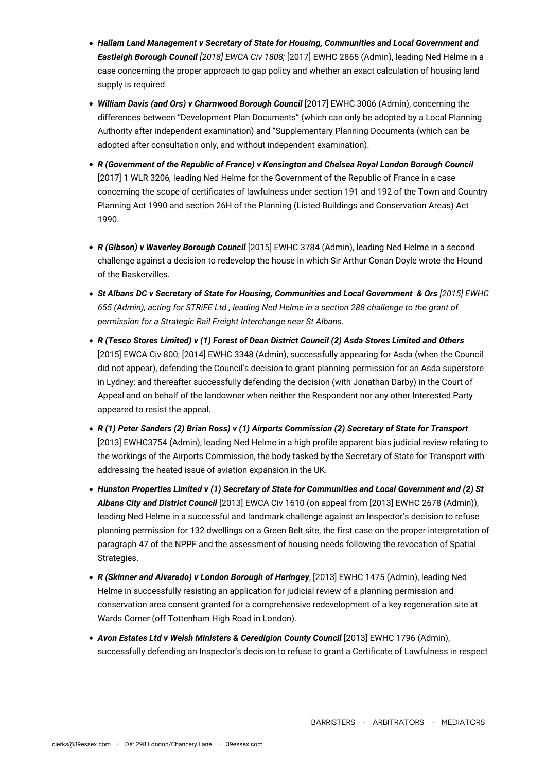- *Hallam Land Management v Secretary of State for Housing, Communities and Local Government and Eastleigh Borough Council [2018] EWCA Civ 1808;* [2017] EWHC 2865 (Admin), leading Ned Helme in a case concerning the proper approach to gap policy and whether an exact calculation of housing land supply is required.
- *William Davis (and Ors) v Charnwood Borough Council* [2017] EWHC 3006 (Admin), concerning the differences between "Development Plan Documents" (which can only be adopted by a Local Planning Authority after independent examination) and "Supplementary Planning Documents (which can be adopted after consultation only, and without independent examination).
- *R (Government of the Republic of France) v Kensington and Chelsea Royal London Borough Council* [2017] 1 WLR 3206*,* leading Ned Helme for the Government of the Republic of France in a case concerning the scope of certificates of lawfulness under section 191 and 192 of the Town and Country Planning Act 1990 and section 26H of the Planning (Listed Buildings and Conservation Areas) Act 1990.
- *R (Gibson) v Waverley Borough Council* [2015] EWHC 3784 (Admin), leading Ned Helme in a second challenge against a decision to redevelop the house in which Sir Arthur Conan Doyle wrote the Hound of the Baskervilles.
- *St Albans DC v Secretary of State for Housing, Communities and Local Government & Ors [2015] EWHC 655 (Admin), acting for STRiFE Ltd., leading Ned Helme in a section 288 challenge to the grant of permission for a Strategic Rail Freight Interchange near St Albans.*
- *R (Tesco Stores Limited) v (1) Forest of Dean District Council (2) Asda Stores Limited and Others* [2015] EWCA Civ 800; [2014] EWHC 3348 (Admin), successfully appearing for Asda (when the Council did not appear), defending the Council's decision to grant planning permission for an Asda superstore in Lydney; and thereafter successfully defending the decision (with Jonathan Darby) in the Court of Appeal and on behalf of the landowner when neither the Respondent nor any other Interested Party appeared to resist the appeal.
- *R (1) Peter Sanders (2) Brian Ross) v (1) Airports Commission (2) Secretary of State for Transport* [2013] EWHC3754 (Admin), leading Ned Helme in a high profile apparent bias judicial review relating to the workings of the Airports Commission, the body tasked by the Secretary of State for Transport with addressing the heated issue of aviation expansion in the UK.
- *Hunston Properties Limited v (1) Secretary of State for Communities and Local Government and (2) St Albans City and District Council* [2013] EWCA Civ 1610 (on appeal from [2013] EWHC 2678 (Admin)), leading Ned Helme in a successful and landmark challenge against an Inspector's decision to refuse planning permission for 132 dwellings on a Green Belt site, the first case on the proper interpretation of paragraph 47 of the NPPF and the assessment of housing needs following the revocation of Spatial Strategies.
- *R (Skinner and Alvarado) v London Borough of Haringey*, [2013] EWHC 1475 (Admin), leading Ned Helme in successfully resisting an application for judicial review of a planning permission and conservation area consent granted for a comprehensive redevelopment of a key regeneration site at Wards Corner (off Tottenham High Road in London).
- *Avon Estates Ltd v Welsh Ministers & Ceredigion County Council* [2013] EWHC 1796 (Admin), successfully defending an Inspector's decision to refuse to grant a Certificate of Lawfulness in respect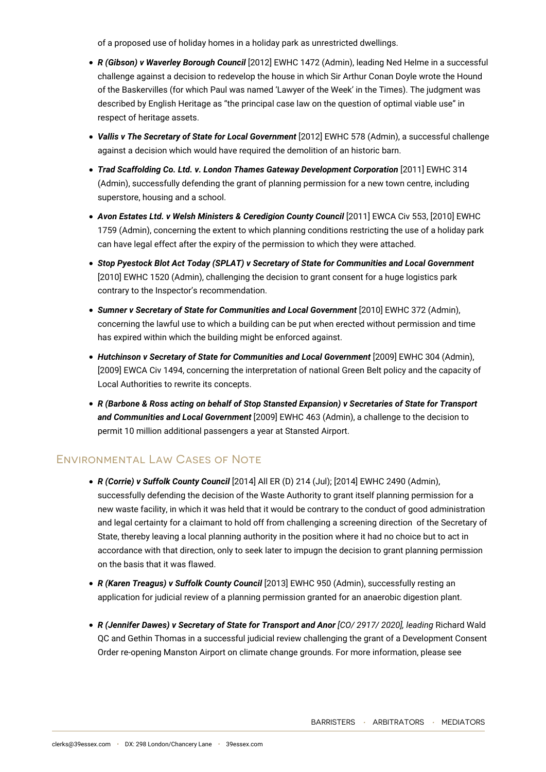of a proposed use of holiday homes in a holiday park as unrestricted dwellings.

- *R (Gibson) v Waverley Borough Council* [2012] EWHC 1472 (Admin), leading Ned Helme in a successful challenge against a decision to redevelop the house in which Sir Arthur Conan Doyle wrote the Hound of the Baskervilles (for which Paul was named 'Lawyer of the Week' in the Times). The judgment was described by English Heritage as "the principal case law on the question of optimal viable use" in respect of heritage assets.
- *Vallis v The Secretary of State for Local Government* [2012] EWHC 578 (Admin), a successful challenge against a decision which would have required the demolition of an historic barn.
- *Trad Scaffolding Co. Ltd. v. London Thames Gateway Development Corporation* [2011] EWHC 314 (Admin), successfully defending the grant of planning permission for a new town centre, including superstore, housing and a school.
- *Avon Estates Ltd. v Welsh Ministers & Ceredigion County Council* [2011] EWCA Civ 553, [2010] EWHC 1759 (Admin), concerning the extent to which planning conditions restricting the use of a holiday park can have legal effect after the expiry of the permission to which they were attached.
- *Stop Pyestock Blot Act Today (SPLAT) v Secretary of State for Communities and Local Government* [2010] EWHC 1520 (Admin), challenging the decision to grant consent for a huge logistics park contrary to the Inspector's recommendation.
- *Sumner v Secretary of State for Communities and Local Government* [2010] EWHC 372 (Admin), concerning the lawful use to which a building can be put when erected without permission and time has expired within which the building might be enforced against.
- *Hutchinson v Secretary of State for Communities and Local Government* [2009] EWHC 304 (Admin), [2009] EWCA Civ 1494, concerning the interpretation of national Green Belt policy and the capacity of Local Authorities to rewrite its concepts.
- *R (Barbone & Ross acting on behalf of Stop Stansted Expansion) v Secretaries of State for Transport and Communities and Local Government* [2009] EWHC 463 (Admin), a challenge to the decision to permit 10 million additional passengers a year at Stansted Airport.

# Environmental Law Cases of Note

- *R (Corrie) v Suffolk County Council* [2014] All ER (D) 214 (Jul); [2014] EWHC 2490 (Admin), successfully defending the decision of the Waste Authority to grant itself planning permission for a new waste facility, in which it was held that it would be contrary to the conduct of good administration and legal certainty for a claimant to hold off from challenging a screening direction of the Secretary of State, thereby leaving a local planning authority in the position where it had no choice but to act in accordance with that direction, only to seek later to impugn the decision to grant planning permission on the basis that it was flawed.
- *R (Karen Treagus) v Suffolk County Council* [2013] EWHC 950 (Admin), successfully resting an application for judicial review of a planning permission granted for an anaerobic digestion plant.
- *R (Jennifer Dawes) v Secretary of State for Transport and Anor [CO/ 2917/ 2020], leading* Richard Wald QC and Gethin Thomas in a successful judicial review challenging the grant of a Development Consent Order re-opening Manston Airport on climate change grounds. For more information, please see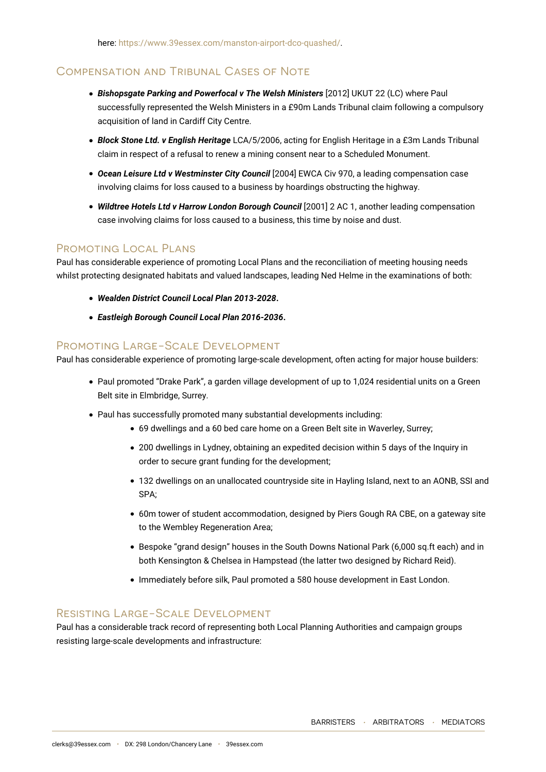here:<https://www.39essex.com/manston-airport-dco-quashed/>.

### Compensation and Tribunal Cases of Note

- *Bishopsgate Parking and Powerfocal v The Welsh Ministers* [2012] UKUT 22 (LC) where Paul successfully represented the Welsh Ministers in a £90m Lands Tribunal claim following a compulsory acquisition of land in Cardiff City Centre.
- *Block Stone Ltd. v English Heritage* LCA/5/2006, acting for English Heritage in a £3m Lands Tribunal claim in respect of a refusal to renew a mining consent near to a Scheduled Monument.
- *Ocean Leisure Ltd v Westminster City Council* [2004] EWCA Civ 970, a leading compensation case involving claims for loss caused to a business by hoardings obstructing the highway.
- *Wildtree Hotels Ltd v Harrow London Borough Council* [2001] 2 AC 1, another leading compensation case involving claims for loss caused to a business, this time by noise and dust.

#### PROMOTING LOCAL PLANS

Paul has considerable experience of promoting Local Plans and the reconciliation of meeting housing needs whilst protecting designated habitats and valued landscapes, leading Ned Helme in the examinations of both:

- *Wealden District Council Local Plan 2013-2028***.**
- *Eastleigh Borough Council Local Plan 2016-2036***.**

#### Promoting Large-Scale Development

Paul has considerable experience of promoting large-scale development, often acting for major house builders:

- Paul promoted "Drake Park", a garden village development of up to 1,024 residential units on a Green Belt site in Elmbridge, Surrey.
- Paul has successfully promoted many substantial developments including:
	- 69 dwellings and a 60 bed care home on a Green Belt site in Waverley, Surrey;
	- 200 dwellings in Lydney, obtaining an expedited decision within 5 days of the Inquiry in order to secure grant funding for the development;
	- 132 dwellings on an unallocated countryside site in Hayling Island, next to an AONB, SSI and SPA;
	- 60m tower of student accommodation, designed by Piers Gough RA CBE, on a gateway site to the Wembley Regeneration Area;
	- Bespoke "grand design" houses in the South Downs National Park (6,000 sq.ft each) and in both Kensington & Chelsea in Hampstead (the latter two designed by Richard Reid).
	- Immediately before silk, Paul promoted a 580 house development in East London.

#### Resisting Large-Scale Development

Paul has a considerable track record of representing both Local Planning Authorities and campaign groups resisting large-scale developments and infrastructure: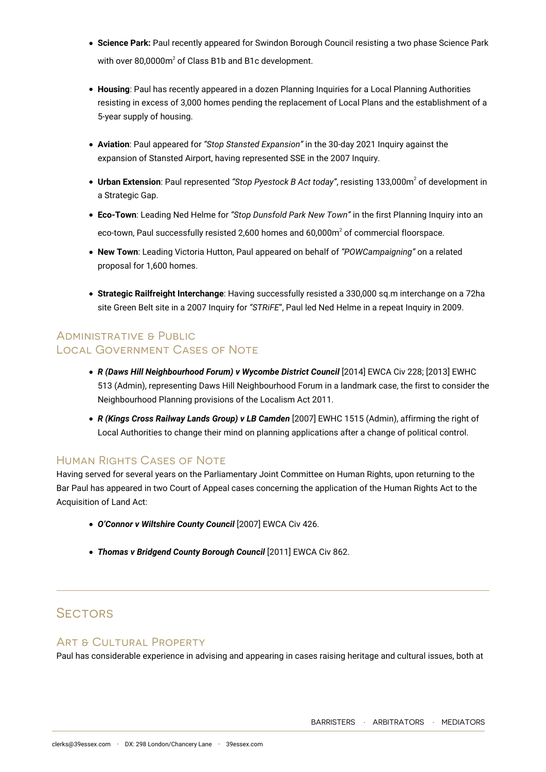- **Science Park:** Paul recently appeared for Swindon Borough Council resisting a two phase Science Park with over 80,0000 $m^2$  of Class B1b and B1c development.
- **Housing**: Paul has recently appeared in a dozen Planning Inquiries for a Local Planning Authorities resisting in excess of 3,000 homes pending the replacement of Local Plans and the establishment of a 5-year supply of housing.
- **Aviation**: Paul appeared for *"Stop Stansted Expansion"* in the 30-day 2021 Inquiry against the expansion of Stansted Airport, having represented SSE in the 2007 Inquiry.
- **Urban Extension**: Paul represented "Stop Pyestock B Act today", resisting 133,000m<sup>2</sup> of development in a Strategic Gap.
- **Eco-Town**: Leading Ned Helme for *"Stop Dunsfold Park New Town"* in the first Planning Inquiry into an eco-town, Paul successfully resisted 2,600 homes and 60,000 $m^2$  of commercial floorspace.
- **New Town**: Leading Victoria Hutton, Paul appeared on behalf of *"POWCampaigning"* on a related proposal for 1,600 homes.
- **Strategic Railfreight Interchange**: Having successfully resisted a 330,000 sq.m interchange on a 72ha site Green Belt site in a 2007 Inquiry for *"STRiFE*", Paul led Ned Helme in a repeat Inquiry in 2009.

# Administrative & Public Local Government Cases of Note

- *R (Daws Hill Neighbourhood Forum) v Wycombe District Council* [2014] EWCA Civ 228; [2013] EWHC 513 (Admin), representing Daws Hill Neighbourhood Forum in a landmark case, the first to consider the Neighbourhood Planning provisions of the Localism Act 2011.
- *R (Kings Cross Railway Lands Group) v LB Camden* [2007] EWHC 1515 (Admin), affirming the right of Local Authorities to change their mind on planning applications after a change of political control.

### Human Rights Cases of Note

Having served for several years on the Parliamentary Joint Committee on Human Rights, upon returning to the Bar Paul has appeared in two Court of Appeal cases concerning the application of the Human Rights Act to the Acquisition of Land Act:

- *O'Connor v Wiltshire County Council* [2007] EWCA Civ 426.
- *Thomas v Bridgend County Borough Council* [2011] EWCA Civ 862.

# **SECTORS**

#### Art & Cultural Property

Paul has considerable experience in advising and appearing in cases raising heritage and cultural issues, both at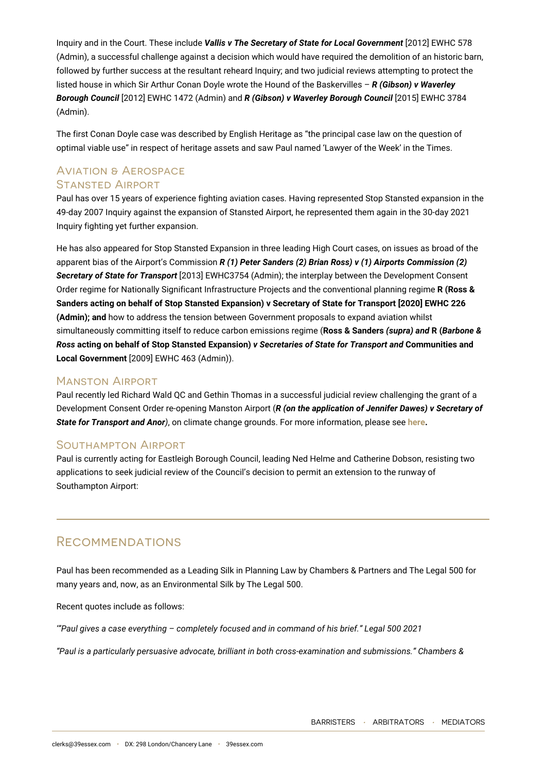Inquiry and in the Court. These include *Vallis v The Secretary of State for Local Government* [2012] EWHC 578 (Admin), a successful challenge against a decision which would have required the demolition of an historic barn, followed by further success at the resultant reheard Inquiry; and two judicial reviews attempting to protect the listed house in which Sir Arthur Conan Doyle wrote the Hound of the Baskervilles – *R (Gibson) v Waverley Borough Council* [2012] EWHC 1472 (Admin) and *R (Gibson) v Waverley Borough Council* [2015] EWHC 3784 (Admin).

The first Conan Doyle case was described by English Heritage as "the principal case law on the question of optimal viable use" in respect of heritage assets and saw Paul named 'Lawyer of the Week' in the Times.

#### Aviation & Aerospace Stansted Airport

Paul has over 15 years of experience fighting aviation cases. Having represented Stop Stansted expansion in the 49-day 2007 Inquiry against the expansion of Stansted Airport, he represented them again in the 30-day 2021 Inquiry fighting yet further expansion.

He has also appeared for Stop Stansted Expansion in three leading High Court cases, on issues as broad of the apparent bias of the Airport's Commission *R (1) Peter Sanders (2) Brian Ross) v (1) Airports Commission (2) Secretary of State for Transport* [2013] EWHC3754 (Admin); the interplay between the Development Consent Order regime for Nationally Significant Infrastructure Projects and the conventional planning regime **R (Ross & Sanders acting on behalf of Stop Stansted Expansion) v Secretary of State for Transport [2020] EWHC 226 (Admin); and** how to address the tension between Government proposals to expand aviation whilst simultaneously committing itself to reduce carbon emissions regime (**Ross & Sanders** *(supra) and* **R (***Barbone & Ross* **acting on behalf of Stop Stansted Expansion)** *v Secretaries of State for Transport and* **Communities and Local Government** [2009] EWHC 463 (Admin)).

#### Manston Airport

Paul recently led Richard Wald QC and Gethin Thomas in a successful judicial review challenging the grant of a Development Consent Order re-opening Manston Airport (*R (on the application of Jennifer Dawes) v Secretary of State for Transport and Anor)*, on climate change grounds. For more information, please see **[here.](https://www.39essex.com/manston-airport-dco-quashed/)**

### Southampton Airport

Paul is currently acting for Eastleigh Borough Council, leading Ned Helme and Catherine Dobson, resisting two applications to seek judicial review of the Council's decision to permit an extension to the runway of Southampton Airport:

# **RECOMMENDATIONS**

Paul has been recommended as a Leading Silk in Planning Law by Chambers & Partners and The Legal 500 for many years and, now, as an Environmental Silk by The Legal 500.

Recent quotes include as follows:

*'"Paul gives a case everything – completely focused and in command of his brief." Legal 500 2021*

*"Paul is a particularly persuasive advocate, brilliant in both cross-examination and submissions." Chambers &*